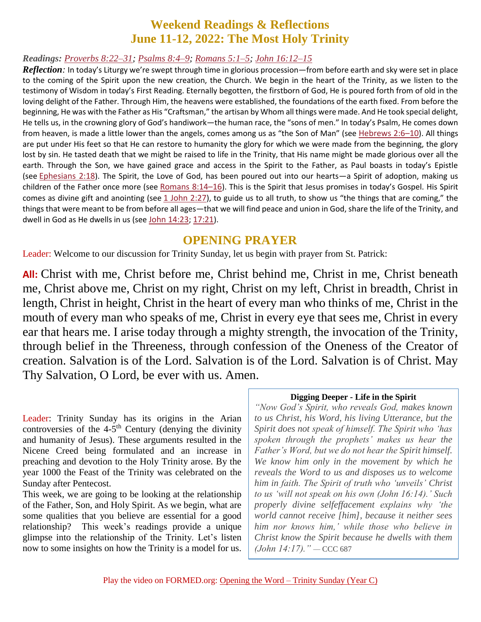### **Weekend Readings & Reflections June 11-12, 2022: The Most Holy Trinity**

#### *Readings: [Proverbs](https://biblia.com/bible/rsvce/Prov%208.22%E2%80%9331) 8:22–31; [Psalms](https://biblia.com/bible/rsvce/Ps%208.4%E2%80%939) 8:4–9; [Romans](https://biblia.com/bible/rsvce/Rom%205.1%E2%80%935) 5:1–5; John [16:12–15](https://biblia.com/bible/rsvce/John%2016.12%E2%80%9315)*

*Reflection:* In today's Liturgy we're swept through time in glorious procession—from before earth and sky were set in place to the coming of the Spirit upon the new creation, the Church. We begin in the heart of the Trinity, as we listen to the testimony of Wisdom in today's First Reading. Eternally begotten, the firstborn of God, He is poured forth from of old in the loving delight of the Father. Through Him, the heavens were established, the foundations of the earth fixed. From before the beginning, He was with the Father as His "Craftsman," the artisan by Whom all things were made. And He took special delight, He tells us, in the crowning glory of God's handiwork—the human race, the "sons of men." In today's Psalm, He comes down from heaven, is made a little lower than the angels, comes among us as "the Son of Man" (see [Hebrews](https://biblia.com/bible/rsvce/Heb%202.6%E2%80%9310) 2:6–10). All things are put under His feet so that He can restore to humanity the glory for which we were made from the beginning, the glory lost by sin. He tasted death that we might be raised to life in the Trinity, that His name might be made glorious over all the earth. Through the Son, we have gained grace and access in the Spirit to the Father, as Paul boasts in today's Epistle (see [Ephesians](https://biblia.com/bible/rsvce/Eph%202.18) 2:18). The Spirit, the Love of God, has been poured out into our hearts—a Spirit of adoption, making us children of the Father once more (see [Romans](https://biblia.com/bible/rsvce/Rom%208.14%E2%80%9316) 8:14–16). This is the Spirit that Jesus promises in today's Gospel. His Spirit comes as divine gift and anointing (see 1 [John](https://biblia.com/bible/rsvce/1%20John%202.27) 2:27), to guide us to all truth, to show us "the things that are coming," the things that were meant to be from before all ages—that we will find peace and union in God, share the life of the Trinity, and dwell in God as He dwells in us (see John [14:23](https://biblia.com/bible/rsvce/John%2014.23); [17:21](https://biblia.com/bible/rsvce/John%2017.21)).

#### **OPENING PRAYER**

Leader: Welcome to our discussion for Trinity Sunday, let us begin with prayer from St. Patrick:

**All:** Christ with me, Christ before me, Christ behind me, Christ in me, Christ beneath me, Christ above me, Christ on my right, Christ on my left, Christ in breadth, Christ in length, Christ in height, Christ in the heart of every man who thinks of me, Christ in the mouth of every man who speaks of me, Christ in every eye that sees me, Christ in every ear that hears me. I arise today through a mighty strength, the invocation of the Trinity, through belief in the Threeness, through confession of the Oneness of the Creator of creation. Salvation is of the Lord. Salvation is of the Lord. Salvation is of Christ. May Thy Salvation, O Lord, be ever with us. Amen.

Leader: Trinity Sunday has its origins in the Arian controversies of the  $4-5$ <sup>th</sup> Century (denying the divinity and humanity of Jesus). These arguments resulted in the Nicene Creed being formulated and an increase in preaching and devotion to the Holy Trinity arose. By the year 1000 the Feast of the Trinity was celebrated on the Sunday after Pentecost.

This week, we are going to be looking at the relationship of the Father, Son, and Holy Spirit. As we begin, what are some qualities that you believe are essential for a good relationship? This week's readings provide a unique glimpse into the relationship of the Trinity. Let's listen now to some insights on how the Trinity is a model for us.

#### **Digging Deeper - Life in the Spirit**

*"Now God's Spirit, who reveals God, makes known to us Christ, his Word, his living Utterance, but the Spirit does not speak of himself. The Spirit who 'has spoken through the prophets' makes us hear the Father's Word, but we do not hear the Spirit himself. We know him only in the movement by which he reveals the Word to us and disposes us to welcome him in faith. The Spirit of truth who 'unveils' Christ to us 'will not speak on his own (John 16:14).' Such properly divine selfeffacement explains why 'the world cannot receive [him], because it neither sees him nor knows him,' while those who believe in Christ know the Spirit because he dwells with them (John 14:17)." —* CCC 687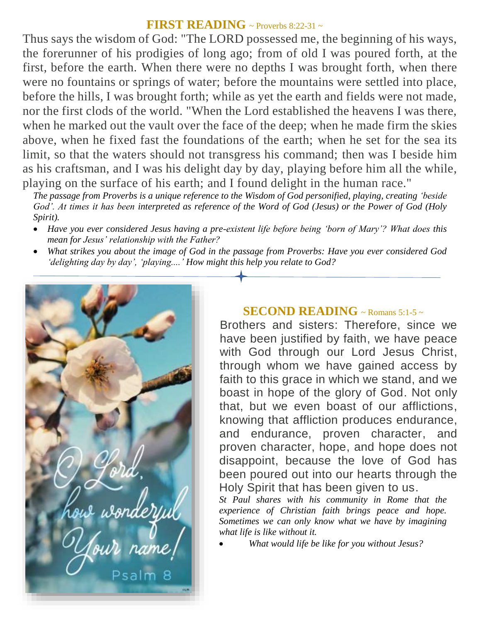#### **FIRST READING** ~ Proverbs 8:22-31 ~

Thus says the wisdom of God: "The LORD possessed me, the beginning of his ways, the forerunner of his prodigies of long ago; from of old I was poured forth, at the first, before the earth. When there were no depths I was brought forth, when there were no fountains or springs of water; before the mountains were settled into place, before the hills, I was brought forth; while as yet the earth and fields were not made, nor the first clods of the world. "When the Lord established the heavens I was there, when he marked out the vault over the face of the deep; when he made firm the skies above, when he fixed fast the foundations of the earth; when he set for the sea its limit, so that the waters should not transgress his command; then was I beside him as his craftsman, and I was his delight day by day, playing before him all the while, playing on the surface of his earth; and I found delight in the human race."

*The passage from Proverbs is a unique reference to the Wisdom of God personified, playing, creating 'beside God'. At times it has been interpreted as reference of the Word of God (Jesus) or the Power of God (Holy Spirit).* 

- *Have you ever considered Jesus having a pre-existent life before being 'born of Mary'? What does this mean for Jesus' relationship with the Father?*
- *What strikes you about the image of God in the passage from Proverbs: Have you ever considered God 'delighting day by day', 'playing....' How might this help you relate to God?*



#### **SECOND READING**  $\sim$  Romans 5:1-5  $\sim$

Brothers and sisters: Therefore, since we have been justified by faith, we have peace with God through our Lord Jesus Christ, through whom we have gained access by faith to this grace in which we stand, and we boast in hope of the glory of God. Not only that, but we even boast of our afflictions, knowing that affliction produces endurance, and endurance, proven character, and proven character, hope, and hope does not disappoint, because the love of God has been poured out into our hearts through the Holy Spirit that has been given to us.

*St Paul shares with his community in Rome that the experience of Christian faith brings peace and hope. Sometimes we can only know what we have by imagining what life is like without it.* 

*What would life be like for you without Jesus?*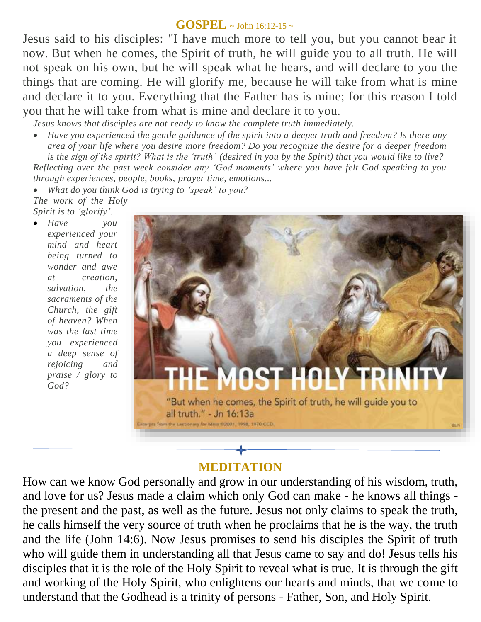#### **GOSPEL**  $\sim$  John 16:12-15  $\sim$

Jesus said to his disciples: "I have much more to tell you, but you cannot bear it now. But when he comes, the Spirit of truth, he will guide you to all truth. He will not speak on his own, but he will speak what he hears, and will declare to you the things that are coming. He will glorify me, because he will take from what is mine and declare it to you. Everything that the Father has is mine; for this reason I told you that he will take from what is mine and declare it to you.

*Jesus knows that disciples are not ready to know the complete truth immediately.* 

 *Have you experienced the gentle guidance of the spirit into a deeper truth and freedom? Is there any area of your life where you desire more freedom? Do you recognize the desire for a deeper freedom is the sign of the spirit? What is the 'truth' (desired in you by the Spirit) that you would like to live? Reflecting over the past week consider any 'God moments' where you have felt God speaking to you through experiences, people, books, prayer time, emotions...* 

 *What do you think God is trying to 'speak' to you? The work of the Holy Spirit is to 'glorify'.* 

 *Have you experienced your mind and heart being turned to wonder and awe at creation, salvation, the sacraments of the Church, the gift of heaven? When was the last time you experienced a deep sense of rejoicing and praise / glory to God?*



# **MEDITATION**

How can we know God personally and grow in our understanding of his wisdom, truth, and love for us? Jesus made a claim which only God can make - he knows all things the present and the past, as well as the future. Jesus not only claims to speak the truth, he calls himself the very source of truth when he proclaims that he is the way, the truth and the life (John 14:6). Now Jesus promises to send his disciples the Spirit of truth who will guide them in understanding all that Jesus came to say and do! Jesus tells his disciples that it is the role of the Holy Spirit to reveal what is true. It is through the gift and working of the Holy Spirit, who enlightens our hearts and minds, that we come to understand that the Godhead is a trinity of persons - Father, Son, and Holy Spirit.